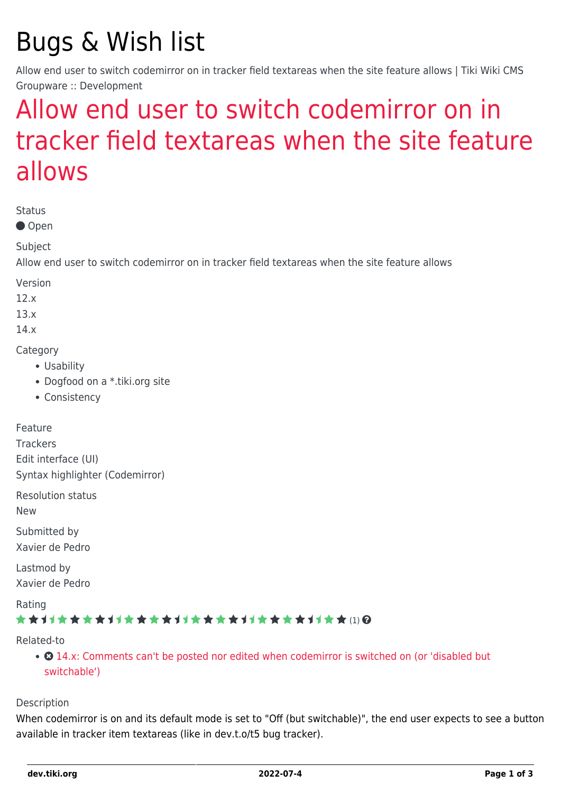# Bugs & Wish list

Allow end user to switch codemirror on in tracker field textareas when the site feature allows | Tiki Wiki CMS Groupware :: Development

## [Allow end user to switch codemirror on in](https://dev.tiki.org/item5064-Allow-end-user-to-switch-codemirror-on-in-tracker-field-textareas-when-the-site-feature-allows) [tracker field textareas when the site feature](https://dev.tiki.org/item5064-Allow-end-user-to-switch-codemirror-on-in-tracker-field-textareas-when-the-site-feature-allows) [allows](https://dev.tiki.org/item5064-Allow-end-user-to-switch-codemirror-on-in-tracker-field-textareas-when-the-site-feature-allows)

Status

● Open

Subject

Allow end user to switch codemirror on in tracker field textareas when the site feature allows

Version

12.x

13.x

14.x

**Category** 

- Usability
- Dogfood on a \*.tiki.org site
- Consistency

Feature

**Trackers** Edit interface (UI) Syntax highlighter (Codemirror)

Resolution status

New

Submitted by Xavier de Pedro

Lastmod by Xavier de Pedro

Rating

#### ★★11★★★★11★★★★11★★★★11★★★★11★★ (1) @

Related-to

• **0** [14.x: Comments can't be posted nor edited when codemirror is switched on \(or 'disabled but](https://dev.tiki.org/item5294-14-x-Comments-can-t-be-posted-nor-edited-when-codemirror-is-switched-on-or-disabled-but-switchable) [switchable'\)](https://dev.tiki.org/item5294-14-x-Comments-can-t-be-posted-nor-edited-when-codemirror-is-switched-on-or-disabled-but-switchable)

Description

When codemirror is on and its default mode is set to "Off (but switchable)", the end user expects to see a button available in tracker item textareas (like in dev.t.o/t5 bug tracker).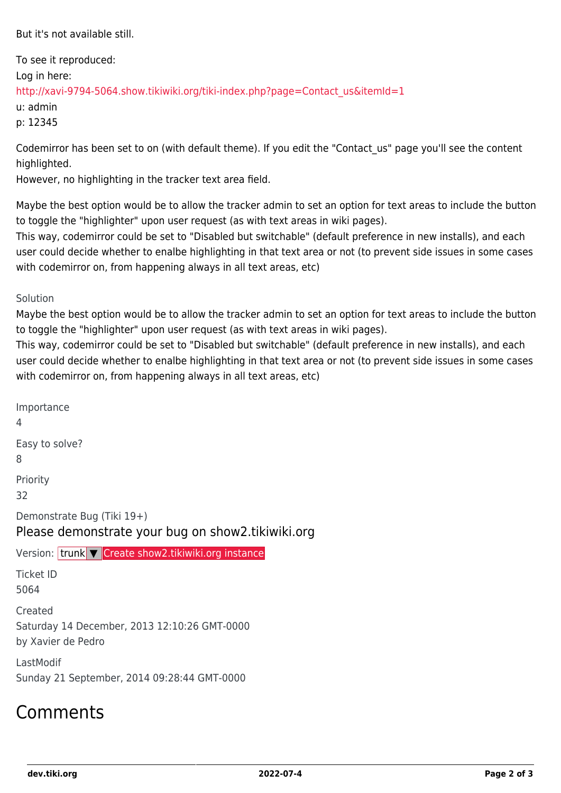But it's not available still.

To see it reproduced: Log in here: [http://xavi-9794-5064.show.tikiwiki.org/tiki-index.php?page=Contact\\_us&itemId=1](http://xavi-9794-5064.show.tikiwiki.org/tiki-index.php?page=Contact_us&itemId=1) u: admin

p: 12345

Codemirror has been set to on (with default theme). If you edit the "Contact\_us" page you'll see the content highlighted.

However, no highlighting in the tracker text area field.

Maybe the best option would be to allow the tracker admin to set an option for text areas to include the button to toggle the "highlighter" upon user request (as with text areas in wiki pages).

This way, codemirror could be set to "Disabled but switchable" (default preference in new installs), and each user could decide whether to enalbe highlighting in that text area or not (to prevent side issues in some cases with codemirror on, from happening always in all text areas, etc)

Solution

Maybe the best option would be to allow the tracker admin to set an option for text areas to include the button to toggle the "highlighter" upon user request (as with text areas in wiki pages).

This way, codemirror could be set to "Disabled but switchable" (default preference in new installs), and each user could decide whether to enalbe highlighting in that text area or not (to prevent side issues in some cases with codemirror on, from happening always in all text areas, etc)

Importance 4 Easy to solve? 8 Priority 32 Demonstrate Bug (Tiki 19+) Please demonstrate your bug on show2.tikiwiki.org Version: trunk ▼ [Create show2.tikiwiki.org instance](#page--1-0) Ticket ID 5064 Created Saturday 14 December, 2013 12:10:26 GMT-0000 by Xavier de Pedro LastModif Sunday 21 September, 2014 09:28:44 GMT-0000

### Comments